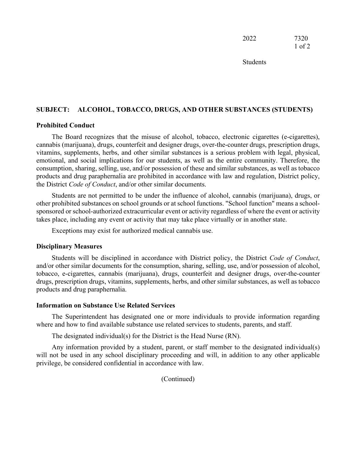2022 7320 1 of 2

Students

### **SUBJECT: ALCOHOL, TOBACCO, DRUGS, AND OTHER SUBSTANCES (STUDENTS)**

#### **Prohibited Conduct**

The Board recognizes that the misuse of alcohol, tobacco, electronic cigarettes (e-cigarettes), cannabis (marijuana), drugs, counterfeit and designer drugs, over-the-counter drugs, prescription drugs, vitamins, supplements, herbs, and other similar substances is a serious problem with legal, physical, emotional, and social implications for our students, as well as the entire community. Therefore, the consumption, sharing, selling, use, and/or possession of these and similar substances, as well as tobacco products and drug paraphernalia are prohibited in accordance with law and regulation, District policy, the District *Code of Conduct*, and/or other similar documents.

Students are not permitted to be under the influence of alcohol, cannabis (marijuana), drugs, or other prohibited substances on school grounds or at school functions. "School function" means a schoolsponsored or school-authorized extracurricular event or activity regardless of where the event or activity takes place, including any event or activity that may take place virtually or in another state.

Exceptions may exist for authorized medical cannabis use.

#### **Disciplinary Measures**

Students will be disciplined in accordance with District policy, the District *Code of Conduct*, and/or other similar documents for the consumption, sharing, selling, use, and/or possession of alcohol, tobacco, e-cigarettes, cannabis (marijuana), drugs, counterfeit and designer drugs, over-the-counter drugs, prescription drugs, vitamins, supplements, herbs, and other similar substances, as well as tobacco products and drug paraphernalia.

#### **Information on Substance Use Related Services**

The Superintendent has designated one or more individuals to provide information regarding where and how to find available substance use related services to students, parents, and staff.

The designated individual(s) for the District is the Head Nurse (RN).

Any information provided by a student, parent, or staff member to the designated individual(s) will not be used in any school disciplinary proceeding and will, in addition to any other applicable privilege, be considered confidential in accordance with law.

(Continued)